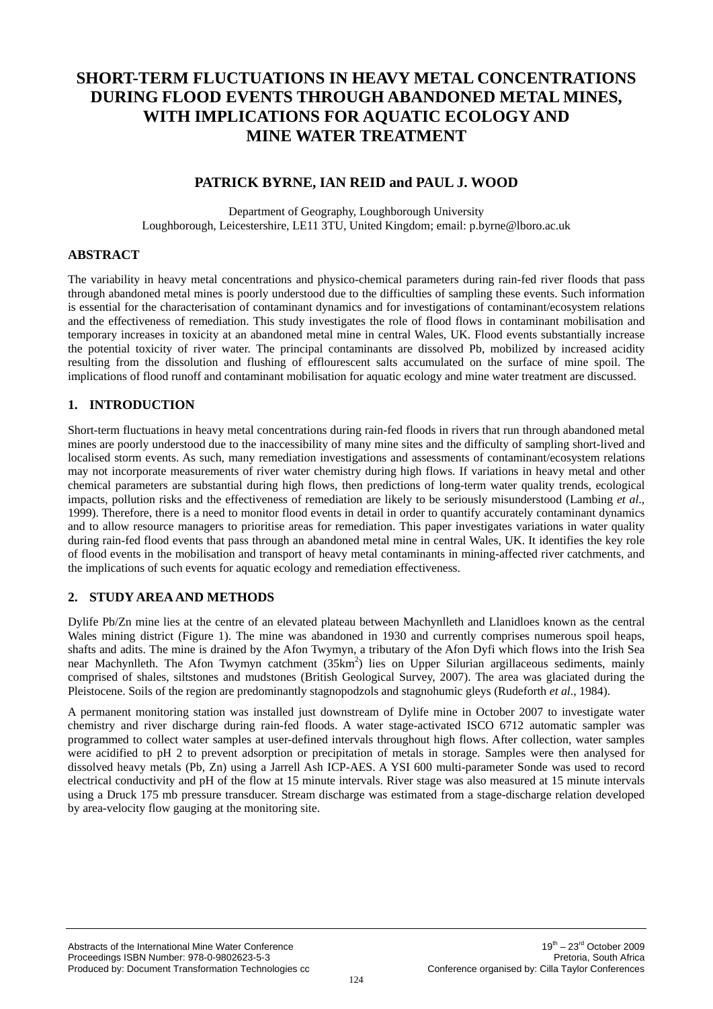# **SHORT-TERM FLUCTUATIONS IN HEAVY METAL CONCENTRATIONS DURING FLOOD EVENTS THROUGH ABANDONED METAL MINES, WITH IMPLICATIONS FOR AQUATIC ECOLOGY AND MINE WATER TREATMENT**

# **PATRICK BYRNE, IAN REID and PAUL J. WOOD**

Department of Geography, Loughborough University Loughborough, Leicestershire, LE11 3TU, United Kingdom; email: p.byrne@lboro.ac.uk

## **ABSTRACT**

The variability in heavy metal concentrations and physico-chemical parameters during rain-fed river floods that pass through abandoned metal mines is poorly understood due to the difficulties of sampling these events. Such information is essential for the characterisation of contaminant dynamics and for investigations of contaminant/ecosystem relations and the effectiveness of remediation. This study investigates the role of flood flows in contaminant mobilisation and temporary increases in toxicity at an abandoned metal mine in central Wales, UK. Flood events substantially increase the potential toxicity of river water. The principal contaminants are dissolved Pb, mobilized by increased acidity resulting from the dissolution and flushing of efflourescent salts accumulated on the surface of mine spoil. The implications of flood runoff and contaminant mobilisation for aquatic ecology and mine water treatment are discussed.

# **1. INTRODUCTION**

Short-term fluctuations in heavy metal concentrations during rain-fed floods in rivers that run through abandoned metal mines are poorly understood due to the inaccessibility of many mine sites and the difficulty of sampling short-lived and localised storm events. As such, many remediation investigations and assessments of contaminant/ecosystem relations may not incorporate measurements of river water chemistry during high flows. If variations in heavy metal and other chemical parameters are substantial during high flows, then predictions of long-term water quality trends, ecological impacts, pollution risks and the effectiveness of remediation are likely to be seriously misunderstood (Lambing *et al*., 1999). Therefore, there is a need to monitor flood events in detail in order to quantify accurately contaminant dynamics and to allow resource managers to prioritise areas for remediation. This paper investigates variations in water quality during rain-fed flood events that pass through an abandoned metal mine in central Wales, UK. It identifies the key role of flood events in the mobilisation and transport of heavy metal contaminants in mining-affected river catchments, and the implications of such events for aquatic ecology and remediation effectiveness.

## **2. STUDY AREA AND METHODS**

Dylife Pb/Zn mine lies at the centre of an elevated plateau between Machynlleth and Llanidloes known as the central Wales mining district (Figure 1). The mine was abandoned in 1930 and currently comprises numerous spoil heaps, shafts and adits. The mine is drained by the Afon Twymyn, a tributary of the Afon Dyfi which flows into the Irish Sea near Machynlleth. The Afon Twymyn catchment (35km<sup>2</sup>) lies on Upper Silurian argillaceous sediments, mainly comprised of shales, siltstones and mudstones (British Geological Survey, 2007). The area was glaciated during the Pleistocene. Soils of the region are predominantly stagnopodzols and stagnohumic gleys (Rudeforth *et al*., 1984).

A permanent monitoring station was installed just downstream of Dylife mine in October 2007 to investigate water chemistry and river discharge during rain-fed floods. A water stage-activated ISCO 6712 automatic sampler was programmed to collect water samples at user-defined intervals throughout high flows. After collection, water samples were acidified to pH 2 to prevent adsorption or precipitation of metals in storage. Samples were then analysed for dissolved heavy metals (Pb, Zn) using a Jarrell Ash ICP-AES. A YSI 600 multi-parameter Sonde was used to record electrical conductivity and pH of the flow at 15 minute intervals. River stage was also measured at 15 minute intervals using a Druck 175 mb pressure transducer. Stream discharge was estimated from a stage-discharge relation developed by area-velocity flow gauging at the monitoring site.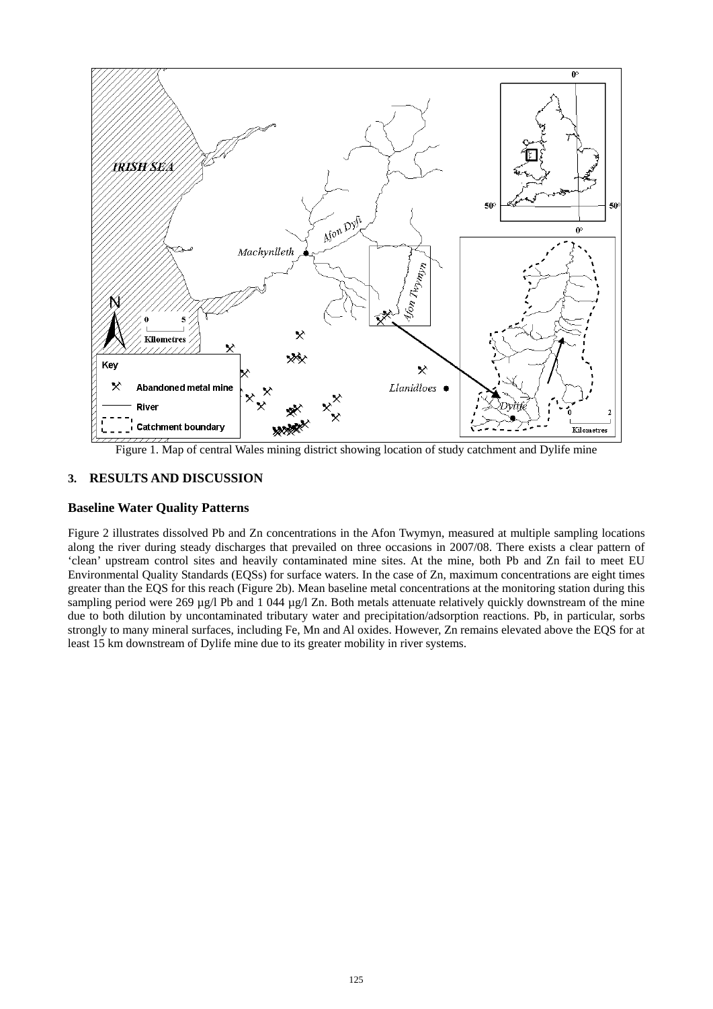

Figure 1. Map of central Wales mining district showing location of study catchment and Dylife mine

# **3. RESULTS AND DISCUSSION**

### **Baseline Water Quality Patterns**

Figure 2 illustrates dissolved Pb and Zn concentrations in the Afon Twymyn, measured at multiple sampling locations along the river during steady discharges that prevailed on three occasions in 2007/08. There exists a clear pattern of 'clean' upstream control sites and heavily contaminated mine sites. At the mine, both Pb and Zn fail to meet EU Environmental Quality Standards (EQSs) for surface waters. In the case of Zn, maximum concentrations are eight times greater than the EQS for this reach (Figure 2b). Mean baseline metal concentrations at the monitoring station during this sampling period were 269 µg/l Pb and 1 044 µg/l Zn. Both metals attenuate relatively quickly downstream of the mine due to both dilution by uncontaminated tributary water and precipitation/adsorption reactions. Pb, in particular, sorbs strongly to many mineral surfaces, including Fe, Mn and Al oxides. However, Zn remains elevated above the EQS for at least 15 km downstream of Dylife mine due to its greater mobility in river systems.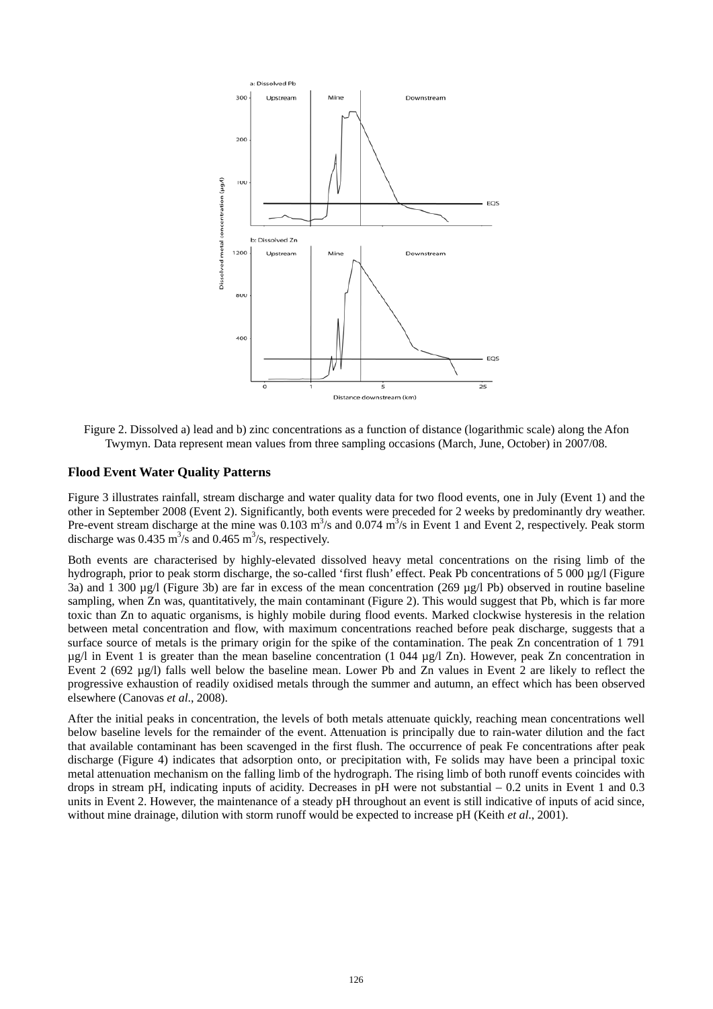

Figure 2. Dissolved a) lead and b) zinc concentrations as a function of distance (logarithmic scale) along the Afon Twymyn. Data represent mean values from three sampling occasions (March, June, October) in 2007/08.

#### **Flood Event Water Quality Patterns**

Figure 3 illustrates rainfall, stream discharge and water quality data for two flood events, one in July (Event 1) and the other in September 2008 (Event 2). Significantly, both events were preceded for 2 weeks by predominantly dry weather. Pre-event stream discharge at the mine was  $0.103 \text{ m}^3/\text{s}$  and  $0.074 \text{ m}^3/\text{s}$  in Event 1 and Event 2, respectively. Peak storm discharge was  $0.435 \text{ m}^3/\text{s}$  and  $0.465 \text{ m}^3/\text{s}$ , respectively.

Both events are characterised by highly-elevated dissolved heavy metal concentrations on the rising limb of the hydrograph, prior to peak storm discharge, the so-called 'first flush' effect. Peak Pb concentrations of 5 000 µg/l (Figure 3a) and 1 300 µg/l (Figure 3b) are far in excess of the mean concentration (269 µg/l Pb) observed in routine baseline sampling, when Zn was, quantitatively, the main contaminant (Figure 2). This would suggest that Pb, which is far more toxic than Zn to aquatic organisms, is highly mobile during flood events. Marked clockwise hysteresis in the relation between metal concentration and flow, with maximum concentrations reached before peak discharge, suggests that a surface source of metals is the primary origin for the spike of the contamination. The peak Zn concentration of 1 791  $\mu$ g/l in Event 1 is greater than the mean baseline concentration (1 044  $\mu$ g/l Zn). However, peak Zn concentration in Event 2 (692 µg/l) falls well below the baseline mean. Lower Pb and Zn values in Event 2 are likely to reflect the progressive exhaustion of readily oxidised metals through the summer and autumn, an effect which has been observed elsewhere (Canovas *et al*., 2008).

After the initial peaks in concentration, the levels of both metals attenuate quickly, reaching mean concentrations well below baseline levels for the remainder of the event. Attenuation is principally due to rain-water dilution and the fact that available contaminant has been scavenged in the first flush. The occurrence of peak Fe concentrations after peak discharge (Figure 4) indicates that adsorption onto, or precipitation with, Fe solids may have been a principal toxic metal attenuation mechanism on the falling limb of the hydrograph. The rising limb of both runoff events coincides with drops in stream pH, indicating inputs of acidity. Decreases in pH were not substantial  $-0.2$  units in Event 1 and 0.3 units in Event 2. However, the maintenance of a steady pH throughout an event is still indicative of inputs of acid since, without mine drainage, dilution with storm runoff would be expected to increase pH (Keith *et al*., 2001).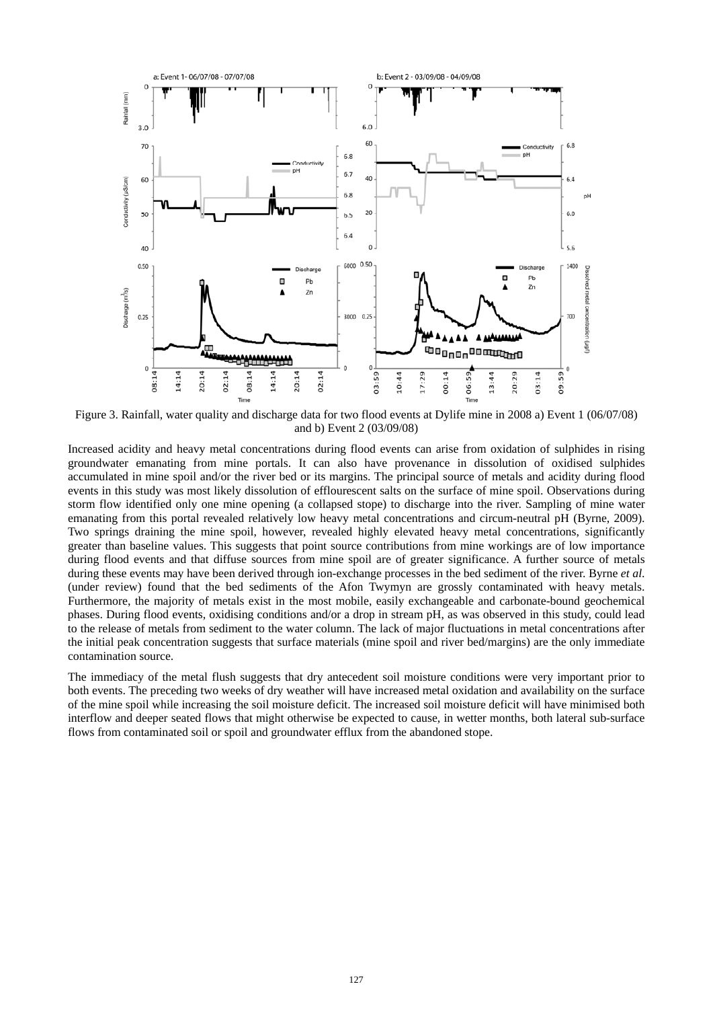

Figure 3. Rainfall, water quality and discharge data for two flood events at Dylife mine in 2008 a) Event 1 (06/07/08) and b) Event 2 (03/09/08)

Increased acidity and heavy metal concentrations during flood events can arise from oxidation of sulphides in rising groundwater emanating from mine portals. It can also have provenance in dissolution of oxidised sulphides accumulated in mine spoil and/or the river bed or its margins. The principal source of metals and acidity during flood events in this study was most likely dissolution of efflourescent salts on the surface of mine spoil. Observations during storm flow identified only one mine opening (a collapsed stope) to discharge into the river. Sampling of mine water emanating from this portal revealed relatively low heavy metal concentrations and circum-neutral pH (Byrne, 2009). Two springs draining the mine spoil, however, revealed highly elevated heavy metal concentrations, significantly greater than baseline values. This suggests that point source contributions from mine workings are of low importance during flood events and that diffuse sources from mine spoil are of greater significance. A further source of metals during these events may have been derived through ion-exchange processes in the bed sediment of the river. Byrne *et al*. (under review) found that the bed sediments of the Afon Twymyn are grossly contaminated with heavy metals. Furthermore, the majority of metals exist in the most mobile, easily exchangeable and carbonate-bound geochemical phases. During flood events, oxidising conditions and/or a drop in stream pH, as was observed in this study, could lead to the release of metals from sediment to the water column. The lack of major fluctuations in metal concentrations after the initial peak concentration suggests that surface materials (mine spoil and river bed/margins) are the only immediate contamination source.

The immediacy of the metal flush suggests that dry antecedent soil moisture conditions were very important prior to both events. The preceding two weeks of dry weather will have increased metal oxidation and availability on the surface of the mine spoil while increasing the soil moisture deficit. The increased soil moisture deficit will have minimised both interflow and deeper seated flows that might otherwise be expected to cause, in wetter months, both lateral sub-surface flows from contaminated soil or spoil and groundwater efflux from the abandoned stope.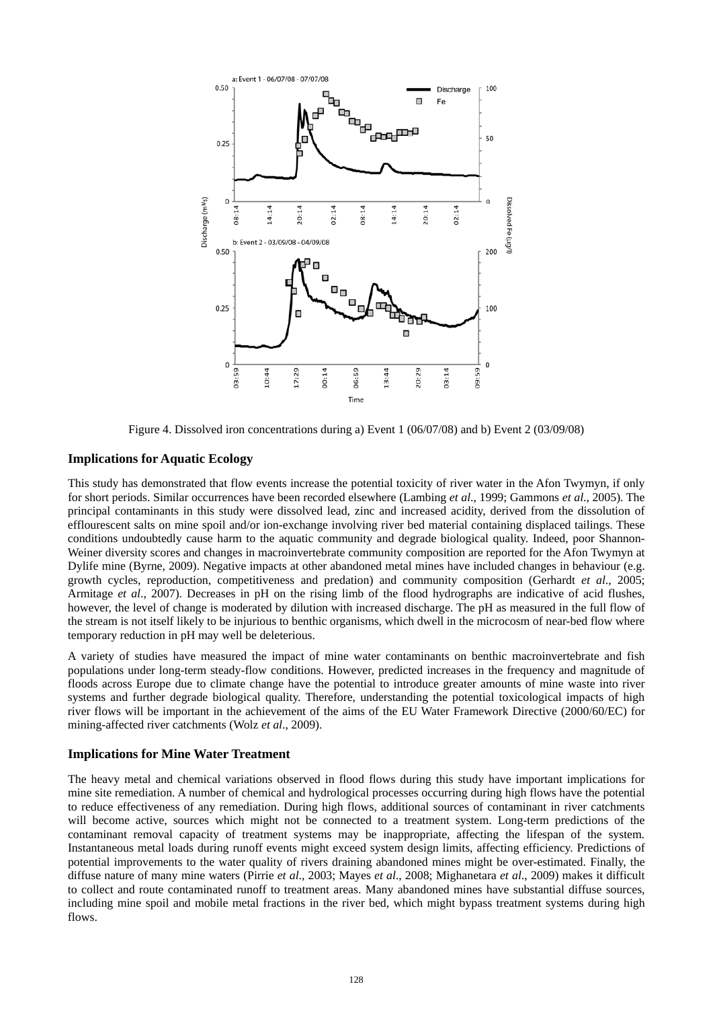

Figure 4. Dissolved iron concentrations during a) Event 1 (06/07/08) and b) Event 2 (03/09/08)

## **Implications for Aquatic Ecology**

This study has demonstrated that flow events increase the potential toxicity of river water in the Afon Twymyn, if only for short periods. Similar occurrences have been recorded elsewhere (Lambing *et al*., 1999; Gammons *et al*., 2005). The principal contaminants in this study were dissolved lead, zinc and increased acidity, derived from the dissolution of efflourescent salts on mine spoil and/or ion-exchange involving river bed material containing displaced tailings. These conditions undoubtedly cause harm to the aquatic community and degrade biological quality. Indeed, poor Shannon-Weiner diversity scores and changes in macroinvertebrate community composition are reported for the Afon Twymyn at Dylife mine (Byrne, 2009). Negative impacts at other abandoned metal mines have included changes in behaviour (e.g. growth cycles, reproduction, competitiveness and predation) and community composition (Gerhardt *et al*., 2005; Armitage *et al*., 2007). Decreases in pH on the rising limb of the flood hydrographs are indicative of acid flushes, however, the level of change is moderated by dilution with increased discharge. The pH as measured in the full flow of the stream is not itself likely to be injurious to benthic organisms, which dwell in the microcosm of near-bed flow where temporary reduction in pH may well be deleterious.

A variety of studies have measured the impact of mine water contaminants on benthic macroinvertebrate and fish populations under long-term steady-flow conditions. However, predicted increases in the frequency and magnitude of floods across Europe due to climate change have the potential to introduce greater amounts of mine waste into river systems and further degrade biological quality. Therefore, understanding the potential toxicological impacts of high river flows will be important in the achievement of the aims of the EU Water Framework Directive (2000/60/EC) for mining-affected river catchments (Wolz *et al*., 2009).

#### **Implications for Mine Water Treatment**

The heavy metal and chemical variations observed in flood flows during this study have important implications for mine site remediation. A number of chemical and hydrological processes occurring during high flows have the potential to reduce effectiveness of any remediation. During high flows, additional sources of contaminant in river catchments will become active, sources which might not be connected to a treatment system. Long-term predictions of the contaminant removal capacity of treatment systems may be inappropriate, affecting the lifespan of the system. Instantaneous metal loads during runoff events might exceed system design limits, affecting efficiency. Predictions of potential improvements to the water quality of rivers draining abandoned mines might be over-estimated. Finally, the diffuse nature of many mine waters (Pirrie *et al*., 2003; Mayes *et al*., 2008; Mighanetara *et al*., 2009) makes it difficult to collect and route contaminated runoff to treatment areas. Many abandoned mines have substantial diffuse sources, including mine spoil and mobile metal fractions in the river bed, which might bypass treatment systems during high flows.